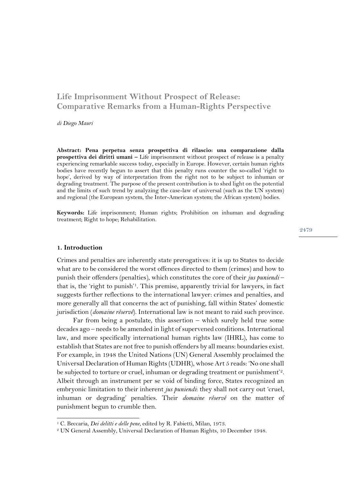# **Life Imprisonment Without Prospect of Release: Comparative Remarks from a Human-Rights Perspective**

*di Diego Mauri*

**Abstract: Pena perpetua senza prospettiva di rilascio: una comparazione dalla prospettiva dei diritti umani –** Life imprisonment without prospect of release is a penalty experiencing remarkable success today, especially in Europe. However, certain human rights bodies have recently begun to assert that this penalty runs counter the so-called 'right to hope', derived by way of interpretation from the right not to be subject to inhuman or degrading treatment. The purpose of the present contribution is to shed light on the potential and the limits of such trend by analyzing the case-law of universal (such as the UN system) and regional (the European system, the Inter-American system; the African system) bodies.

**Keywords:** Life imprisonment; Human rights; Prohibition on inhuman and degrading treatment; Right to hope; Rehabilitation.

#### **1. Introduction**

Crimes and penalties are inherently state prerogatives: it is up to States to decide what are to be considered the worst offences directed to them (crimes) and how to punish their offenders (penalties), which constitutes the core of their *jus puniendi* – that is, the 'right to punish'1. This premise, apparently trivial for lawyers, in fact suggests further reflections to the international lawyer: crimes and penalties, and more generally all that concerns the act of punishing, fall within States' domestic jurisdiction (*domaine réservé*). International law is not meant to raid such province.

Far from being a postulate, this assertion – which surely held true some decades ago – needs to be amended in light of supervened conditions. International law, and more specifically international human rights law (IHRL), has come to establish that States are not free to punish offenders by all means: boundaries exist. For example, in 1948 the United Nations (UN) General Assembly proclaimed the Universal Declaration of Human Rights (UDHR), whose Art 5 reads: 'No one shall be subjected to torture or cruel, inhuman or degrading treatment or punishment'<sup>2</sup>. Albeit through an instrument per se void of binding force, States recognized an embryonic limitation to their inherent *jus puniendi*: they shall not carry out 'cruel, inhuman or degrading' penalties. Their *domaine réservé* on the matter of punishment begun to crumble then.

<sup>1</sup> C. Beccaria, *Dei delitti e delle pene*, edited by R. Fabietti, Milan, 1973.

<sup>2</sup> UN General Assembly, Universal Declaration of Human Rights, 10 December 1948.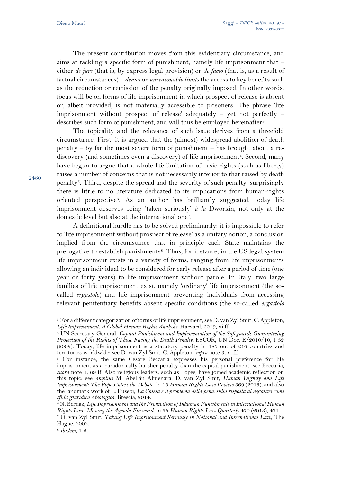The present contribution moves from this evidentiary circumstance, and aims at tackling a specific form of punishment, namely life imprisonment that – either *de jure* (that is, by express legal provision) or *de facto* (that is, as a result of factual circumstances) – *denies* or *unreasonably limits* the access to key benefits such as the reduction or remission of the penalty originally imposed. In other words, focus will be on forms of life imprisonment in which prospect of release is absent or, albeit provided, is not materially accessible to prisoners. The phrase 'life imprisonment without prospect of release' adequately – yet not perfectly – describes such form of punishment, and will thus be employed hereinafter<sup>3</sup>.

The topicality and the relevance of such issue derives from a threefold circumstance. First, it is argued that the (almost) widespread abolition of death penalty – by far the most severe form of punishment – has brought about a rediscovery (and sometimes even a discovery) of life imprisonment<sup>4</sup>. Second, many have begun to argue that a whole-life limitation of basic rights (such as liberty) raises a number of concerns that is not necessarily inferior to that raised by death penalty5. Third, despite the spread and the severity of such penalty, surprisingly there is little to no literature dedicated to its implications from human-rights oriented perspective<sup>6</sup>. As an author has brilliantly suggested, today life imprisonment deserves being 'taken seriously' *à la* Dworkin, not only at the domestic level but also at the international one7.

A definitional hurdle has to be solved preliminarily: it is impossible to refer to 'life imprisonment without prospect of release' as a unitary notion, a conclusion implied from the circumstance that in principle each State maintains the prerogative to establish punishments<sup>8</sup>. Thus, for instance, in the US legal system life imprisonment exists in a variety of forms, ranging from life imprisonments allowing an individual to be considered for early release after a period of time (one year or forty years) to life imprisonment without parole. In Italy, two large families of life imprisonment exist, namely 'ordinary' life imprisonment (the socalled *ergastolo*) and life imprisonment preventing individuals from accessing relevant penitentiary benefits absent specific conditions (the so-called *ergastolo* 

<sup>3</sup> For a different categorization of forms of life imprisonment, see D. van Zyl Smit, C. Appleton, *Life Imprisonment. A Global Human Rights Analysis*, Harvard, 2019, xi ff.

<sup>4</sup> UN Secretary-General, *Capital Punishment and Implementation of the Safeguards Guaranteeing Protection of the Rights of Those Facing the Death Penalty*, ESCOR, UN Doc. E/2010/10, 1 32 (2009). Today, life imprisonment is a statutory penalty in 183 out of 216 countries and territories worldwide: see D. van Zyl Smit, C. Appleton, *supra* note 3, xi ff.

<sup>5</sup> For instance, the same Cesare Beccaria expresses his personal preference for life imprisonment as a paradoxically harsher penalty than the capital punishment: see Beccaria, *supra* note 1, 69 ff. Also religious leaders, such as Popes, have joined academic reflection on this topic: see *amplius* M. Abellán Almenara, D. van Zyl Smit, *Human Dignity and Life Imprisonment: The Pope Enters the Debate*, in 15 *Human Rights Law Review* 369 (2015), and also the landmark work of L. Eusebi, *La Chiesa e il problema della pena: sulla risposta al negativo come sfida giuridica e teologica*, Brescia, 2014.

<sup>6</sup> N. Bernaz, *Life Imprisonment and the Prohibition of Inhuman Punishments in International Human Rights Law: Moving the Agenda Forward*, in 35 *Human Rights Law Quarterly* 470 (2013), 471.

<sup>7</sup> D. van Zyl Smit, *Taking Life Imprisonment Seriously in National and International Law*, The Hague, 2002.

<sup>8</sup> *Ibidem*, 1-3.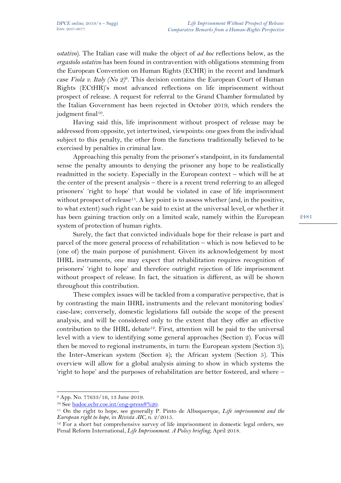*ostativo*). The Italian case will make the object of *ad hoc* reflections below, as the *ergastolo ostativo* has been found in contravention with obligations stemming from the European Convention on Human Rights (ECHR) in the recent and landmark case *Viola v. Italy (No 2)*9*.* This decision contains the European Court of Human Rights (ECtHR)'s most advanced reflections on life imprisonment without prospect of release. A request for referral to the Grand Chamber formulated by the Italian Government has been rejected in October 2019, which renders the judgment final<sup>10</sup>.

Having said this, life imprisonment without prospect of release may be addressed from opposite, yet intertwined, viewpoints: one goes from the individual subject to this penalty, the other from the functions traditionally believed to be exercised by penalties in criminal law.

Approaching this penalty from the prisoner's standpoint, in its fundamental sense the penalty amounts to denying the prisoner any hope to be realistically readmitted in the society. Especially in the European context – which will be at the center of the present analysis – there is a recent trend referring to an alleged prisoners' 'right to hope' that would be violated in case of life imprisonment without prospect of release<sup>11</sup>. A key point is to assess whether (and, in the positive, to what extent) such right can be said to exist at the universal level, or whether it has been gaining traction only on a limited scale, namely within the European system of protection of human rights.

Surely, the fact that convicted individuals hope for their release is part and parcel of the more general process of rehabilitation – which is now believed to be (one of) the main purpose of punishment. Given its acknowledgement by most IHRL instruments, one may expect that rehabilitation requires recognition of prisoners' 'right to hope' and therefore outright rejection of life imprisonment without prospect of release. In fact, the situation is different, as will be shown throughout this contribution.

These complex issues will be tackled from a comparative perspective, that is by contrasting the main IHRL instruments and the relevant monitoring bodies' case-law; conversely, domestic legislations fall outside the scope of the present analysis, and will be considered only to the extent that they offer an effective contribution to the IHRL debate<sup>12</sup>. First, attention will be paid to the universal level with a view to identifying some general approaches (Section 2). Focus will then be moved to regional instruments, in turn: the European system (Section 3); the Inter-American system (Section 4); the African system (Section 5). This overview will allow for a global analysis aiming to show in which systems the 'right to hope' and the purposes of rehabilitation are better fostered, and where –

<sup>9</sup> App. No. 77633/16, 13 June 2019.

<sup>10</sup> See [hudoc.echr.coe.int/eng-press#%20.](https://hudoc.echr.coe.int/eng-press#%20)

<sup>11</sup> On the right to hope, see generally P. Pinto de Albuquerque, *Life imprisonment and the European right to hope*, in *Rivista AIC*, n. 2/2015.

<sup>&</sup>lt;sup>12</sup> For a short but comprehensive survey of life imprisonment in domestic legal orders, see Penal Reform International, *Life Imprisonment. A Policy briefing*, April 2018.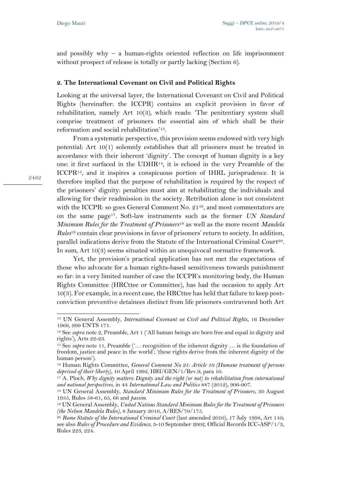and possibly why – a human-rights oriented reflection on life imprisonment without prospect of release is totally or partly lacking (Section 6).

## **2. The International Covenant on Civil and Political Rights**

Looking at the universal layer, the International Covenant on Civil and Political Rights (hereinafter: the ICCPR) contains an explicit provision in favor of rehabilitation, namely Art 10(3), which reads: 'The penitentiary system shall comprise treatment of prisoners the essential aim of which shall be their reformation and social rehabilitation'13.

From a systematic perspective, this provision seems endowed with very high potential: Art 10(1) solemnly establishes that all prisoners must be treated in accordance with their inherent 'dignity'. The concept of human dignity is a key one: it first surfaced in the UDHR14, it is echoed in the very Preamble of the ICCPR15, and it inspires a conspicuous portion of IHRL jurisprudence. It is therefore implied that the purpose of rehabilitation is required by the respect of the prisoners' dignity: penalties must aim at rehabilitating the individuals and allowing for their readmission in the society. Retribution alone is not consistent with the ICCPR: so goes General Comment No. 2116, and most commentators are on the same page17. Soft-law instruments such as the former *UN Standard Minimum Rules for the Treatment of Prisoners*<sup>18</sup> as well as the more recent *Mandela Rules*<sup>19</sup> contain clear provisions in favor of prisoners' return to society. In addition, parallel indications derive from the Statute of the International Criminal Court20. In sum, Art 10(3) seems situated within an unequivocal normative framework.

Yet, the provision's practical application has not met the expectations of those who advocate for a human rights-based sensitiveness towards punishment so far: in a very limited number of case the ICCPR's monitoring body, the Human Rights Committee (HRCttee or Committee), has had the occasion to apply Art  $10(3)$ . For example, in a recent case, the HRCttee has held that failure to keep postconviction preventive detainees distinct from life prisoners contravened both Art

<sup>13</sup> UN General Assembly, *International Covenant on Civil and Political Rights*, 16 December 1966, 999 UNTS 171.

<sup>14</sup> See *supra* note 2, Preamble, Art 1 ('All human beings are born free and equal in dignity and rights'), Arts 22-23.

<sup>15</sup> See *supra* note 11, Preamble ('… recognition of the inherent dignity … is the foundation of freedom, justice and peace in the world'; 'these rights derive from the inherent dignity of the human person').

<sup>16</sup> Human Rights Committee, *General Comment No 21: Article 10 (Humane treatment of persons deprived of their liberty)*, 10 April 1992, HRI/GEN/1/Rev.9, para 10.

<sup>17</sup> A. Ploch, *Why dignity matters: Dignity and the right (or not) to rehabilitation from international and national perspectives*, in 44 *International Law and Politics* 887 (2012), 906-907.

<sup>18</sup> UN General Assembly, *Standard Minimum Rules for the Treatment of Prisoners*, 30 August 1955, Rules 58-61, 65, 66 and *passim*.

<sup>19</sup> UN General Assembly, *United Nations Standard Minimum Rules for the Treatment of Prisoners (the Nelson Mandela Rules)*, 8 January 2016, A/RES/70/175.

<sup>&</sup>lt;sup>20</sup> Rome Statute of the International Criminal Court (last amended 2010), 17 July 1998, Art 110; see also *Rules of Procedure and Evidence*, 3-10 September 2002, Official Records ICC-ASP/1/3, Rules 223, 224.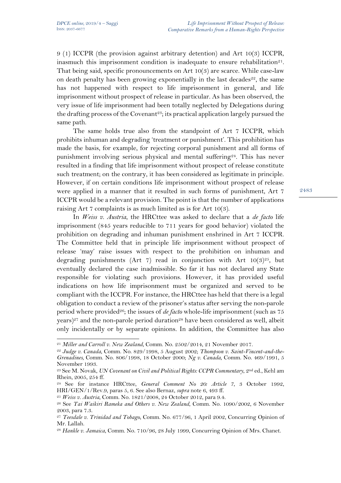9 (1) ICCPR (the provision against arbitrary detention) and Art 10(3) ICCPR, inasmuch this imprisonment condition is inadequate to ensure rehabilitation<sup>21</sup>. That being said, specific pronouncements on Art 10(3) are scarce. While case-law on death penalty has been growing exponentially in the last decades<sup>22</sup>, the same has not happened with respect to life imprisonment in general, and life imprisonment without prospect of release in particular. As has been observed, the very issue of life imprisonment had been totally neglected by Delegations during the drafting process of the Covenant<sup>23</sup>; its practical application largely pursued the same path.

The same holds true also from the standpoint of Art 7 ICCPR, which prohibits inhuman and degrading 'treatment or punishment'. This prohibition has made the basis, for example, for rejecting corporal punishment and all forms of punishment involving serious physical and mental suffering24. This has never resulted in a finding that life imprisonment without prospect of release constitute such treatment; on the contrary, it has been considered as legitimate in principle. However, if on certain conditions life imprisonment without prospect of release were applied in a manner that it resulted in such forms of punishment, Art 7 ICCPR would be a relevant provision. The point is that the number of applications raising Art 7 complaints is as much limited as is for Art 10(3).

In *Weiss v. Austria*, the HRCttee was asked to declare that a *de facto* life imprisonment (845 years reducible to 711 years for good behavior) violated the prohibition on degrading and inhuman punishment enshrined in Art 7 ICCPR. The Committee held that in principle life imprisonment without prospect of release 'may' raise issues with respect to the prohibition on inhuman and degrading punishments (Art 7) read in conjunction with Art  $10(3)^{25}$ , but eventually declared the case inadmissible. So far it has not declared any State responsible for violating such provisions. However, it has provided useful indications on how life imprisonment must be organized and served to be compliant with the ICCPR. For instance, the HRCttee has held that there is a legal obligation to conduct a review of the prisoner's status after serving the non-parole period where provided<sup>26</sup>; the issues of *de facto* whole-life imprisonment (such as 75 years)<sup>27</sup> and the non-parole period duration<sup>28</sup> have been considered as well, albeit only incidentally or by separate opinions. In addition, the Committee has also

<sup>25</sup> *Weiss v. Austria*, Comm. No. 1821/2008, 24 October 2012, para 9.4.

<sup>21</sup> *Miller and Carroll v. New Zealand*, Comm. No. 2502/2014, 21 November 2017.

<sup>22</sup> *Judge v. Canada*, Comm. No. 829/1998, 5 August 2002; *Thompson v. Saint-Vincent-and-the-Grenadines*, Comm. No. 806/1998, 18 October 2000; *Ng v. Canada*, Comm. No. 469/1991, 5 November 1993.

<sup>23</sup> See M. Novak, *UN Covenant on Civil and Political Rights: CCPR Commentary*, 2nd ed., Kehl am Rhein, 2005, 254 ff.

<sup>24</sup> See for instance HRCttee, *General Comment No 20: Article 7*, 3 October 1992, HRI/GEN/1/Rev.9, paras 5, 6. See also Bernaz, *supra* note 6, 493 ff.

<sup>26</sup> See *Tai Waikiri Rameka and Others v. New Zealand*, Comm. No. 1090/2002, 6 November 2003, para 7.3.

<sup>27</sup> *Teesdale v. Trinidad and Tobago*, Comm. No. 677/96, 1 April 2002, Concurring Opinion of Mr. Lallah.

<sup>28</sup> *Hankle v. Jamaica*, Comm. No. 710/96, 28 July 1999, Concurring Opinion of Mrs. Chanet.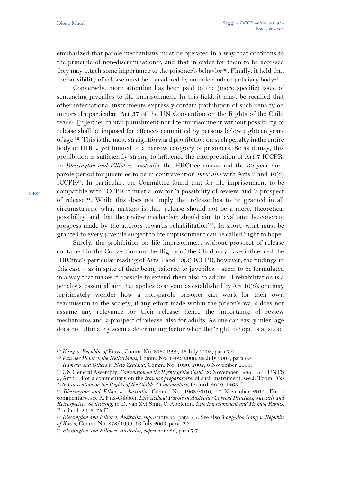emphasized that parole mechanisms must be operated in a way that conforms to the principle of non-discrimination<sup>29</sup>, and that in order for them to be accessed they may attach some importance to the prisoner's behavior<sup>30</sup>. Finally, it held that the possibility of release must be considered by an independent judiciary body<sup>31</sup>.

Conversely, more attention has been paid to the (more specific) issue of sentencing juveniles to life imprisonment. In this field, it must be recalled that other international instruments expressly contain prohibition of such penalty on minors. In particular, Art 37 of the UN Convention on the Rights of the Child reads: '[n]either capital punishment nor life imprisonment without possibility of release shall be imposed for offences committed by persons below eighteen years of age'32. This is the most straightforward prohibition on such penalty in the entire body of IHRL, yet limited to a narrow category of prisoners. Be as it may, this prohibition is sufficiently strong to influence the interpretation of Art 7 ICCPR. In *Blessington and Elliot v. Australia*, the HRCttee considered the 30-year nonparole period for juveniles to be in contravention *inter alia* with Arts 7 and 10(3) ICCPR33. In particular, the Committee found that for life imprisonment to be compatible with ICCPR it must allow for 'a possibility of review' and 'a prospect of release'34. While this does not imply that release has to be granted in all circumstances, what matters is that 'release should not be a mere, theoretical possibility' and that the review mechanism should aim to 'evaluate the concrete progress made by the authors towards rehabilitation'35. In short, what must be granted to every juvenile subject to life imprisonment can be called 'right to hope'.

Surely, the prohibition on life imprisonment without prospect of release contained in the Convention on the Rights of the Child may have influenced the HRCttee's particular reading of Arts 7 and 10(3) ICCPR; however, the findings in this case – as in spite of their being tailored to juveniles – seem to be formulated in a way that makes it possible to extend them also to adults. If rehabilitation is a penalty's 'essential' aim that applies to anyone as established by Art 10(3), one may legitimately wonder how a non-parole prisoner can work for their own readmission in the society, if any effort made within the prison's walls does not assume any relevance for their release: hence the importance of review mechanisms and 'a prospect of release' also for adults. As one can easily infer, age does not ultimately seem a determining factor when the 'right to hope' is at stake.

<sup>29</sup> *Kang v. Republic of Korea*, Comm. No. 878/1999, 16 July 2003, para 7.2.

<sup>30</sup> *Van der Plaat v. the Netherlands*, Comm. No. 1492/2006, 22 July 2008, para 6.4.

<sup>31</sup> *Rameka and Others v. New Zealand*, Comm. No. 1090/2002, 6 November 2003.

<sup>32</sup> UN General Assembly, *Convention on the Rights of the Child*, 20 November 1989, 1577 UNTS

<sup>3,</sup> Art 37. For a commentary on the *travaux préparatoires* of such instrument, see J. Tobin, *The UN Convention on the Rights of the Child: A Commentary*, Oxford, 2019, 1463 ff.

<sup>33</sup> *Blessington and Elliot v. Australia*, Comm. No. 1968/2010, 17 November 2014. For a commentary, see K. Fitz-Gibbon, *Life without Parole in Australia: Current Practices, Juvenile and Retrospective Sentencing*, in D. van Zyl Smit, C. Appleton, *Life Imprisonment and Human Rights*, Portland, 2016, 75 ff.

<sup>34</sup> *Blessington and Elliot v. Australia*, *supra* note 33, para 7.7. See also *Yong-Joo Kang v. Republic of Korea*, Comm. No. 878/1999, 16 July 2003, para. 2.3.

<sup>35</sup> *Blessington and Elliot v. Australia*, *supra* note 33, para 7.7.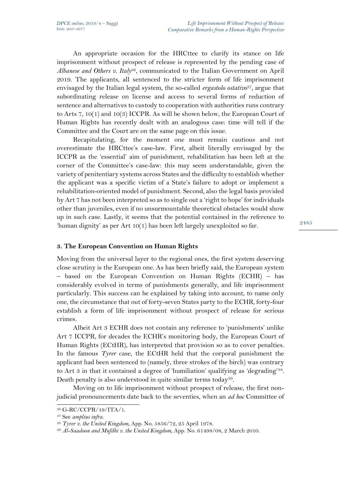An appropriate occasion for the HRCttee to clarify its stance on life imprisonment without prospect of release is represented by the pending case of *Albanese and Others v. Italy*36, communicated to the Italian Government on April 2019. The applicants, all sentenced to the stricter form of life imprisonment envisaged by the Italian legal system, the so-called *ergastolo ostativo*<sup>37</sup>, argue that subordinating release on license and access to several forms of reduction of sentence and alternatives to custody to cooperation with authorities runs contrary to Arts 7, 10(1) and 10(3) ICCPR. As will be shown below, the European Court of Human Rights has recently dealt with an analogous case: time will tell if the Committee and the Court are on the same page on this issue.

Recapitulating, for the moment one must remain cautious and not overestimate the HRCttee's case-law. First, albeit literally envisaged by the ICCPR as the 'essential' aim of punishment, rehabilitation has been left at the corner of the Committee's case-law: this may seem understandable, given the variety of penitentiary systems across States and the difficulty to establish whether the applicant was a specific victim of a State's failure to adopt or implement a rehabilitation-oriented model of punishment. Second, also the legal basis provided by Art 7 has not been interpreted so as to single out a 'right to hope' for individuals other than juveniles, even if no unsurmountable theoretical obstacles would show up in such case. Lastly, it seems that the potential contained in the reference to 'human dignity' as per Art 10(1) has been left largely unexploited so far.

## **3. The European Convention on Human Rights**

Moving from the universal layer to the regional ones, the first system deserving close scrutiny is the European one. As has been briefly said, the European system – based on the European Convention on Human Rights (ECHR) – has considerably evolved in terms of punishments generally, and life imprisonment particularly. This success can be explained by taking into account, to name only one, the circumstance that out of forty-seven States party to the ECHR, forty-four establish a form of life imprisonment without prospect of release for serious crimes.

Albeit Art 3 ECHR does not contain any reference to 'punishments' unlike Art 7 ICCPR, for decades the ECHR's monitoring body, the European Court of Human Rights (ECtHR), has interpreted that provision so as to cover penalties. In the famous *Tyrer* case, the ECtHR held that the corporal punishment the applicant had been sentenced to (namely, three strokes of the birch) was contrary to Art 3 in that it contained a degree of 'humiliation' qualifying as 'degrading'38. Death penalty is also understood in quite similar terms today<sup>39</sup>.

Moving on to life imprisonment without prospect of release, the first nonjudicial pronouncements date back to the seventies, when an *ad hoc* Committee of

<sup>36</sup> G-RC/CCPR/19/ITA/1.

<sup>37</sup> See *amplius infra.*

<sup>38</sup> *Tyrer v. the United Kingdom*, App. No. 5856/72, 25 April 1978.

<sup>39</sup> *Al-Saadoon and Mufdhi v. the United Kingdom*, App. No. 61498/08, 2 March 2010.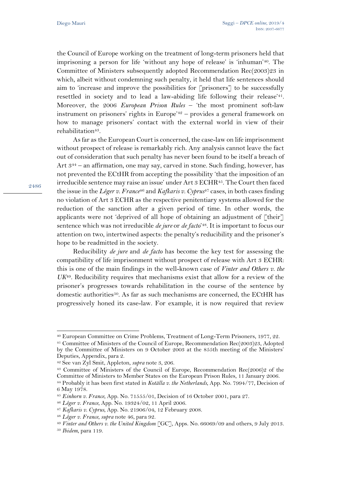the Council of Europe working on the treatment of long-term prisoners held that imprisoning a person for life 'without any hope of release' is 'inhuman'40. The Committee of Ministers subsequently adopted Recommendation Rec(2003)23 in which, albeit without condemning such penalty, it held that life sentences should aim to 'increase and improve the possibilities for [prisoners] to be successfully resettled in society and to lead a law-abiding life following their release'<sup>41</sup>. Moreover, the 2006 *European Prison Rules* – 'the most prominent soft-law instrument on prisoners' rights in Europe'<sup>42</sup> – provides a general framework on how to manage prisoners' contact with the external world in view of their rehabilitation<sup>43</sup>.

As far as the European Court is concerned, the case-law on life imprisonment without prospect of release is remarkably rich. Any analysis cannot leave the fact out of consideration that such penalty has never been found to be itself a breach of Art 3<sup>44</sup> – an affirmation, one may say, carved in stone. Such finding, however, has not prevented the ECtHR from accepting the possibility 'that the imposition of an irreducible sentence may raise an issue' under  $Art 3 ECHR<sup>45</sup>$ . The Court then faced the issue in the *Léger v. France*<sup>46</sup> and *Kafkaris v. Cyprus*<sup>47</sup> cases, in both cases finding no violation of Art 3 ECHR as the respective penitentiary systems allowed for the reduction of the sanction after a given period of time. In other words, the applicants were not 'deprived of all hope of obtaining an adjustment of  $\lceil \text{their} \rceil$ sentence which was not irreducible *de jure* or *de facto*' <sup>48</sup>. It is important to focus our attention on two, intertwined aspects: the penalty's reducibility and the prisoner's hope to be readmitted in the society.

Reducibility *de jure* and *de facto* has become the key test for assessing the compatibility of life imprisonment without prospect of release with Art 3 ECHR: this is one of the main findings in the well-known case of *Vinter and Others v. the UK*49. Reducibility requires that mechanisms exist that allow for a review of the prisoner's progresses towards rehabilitation in the course of the sentence by domestic authorities50. As far as such mechanisms are concerned, the ECtHR has progressively honed its case-law. For example, it is now required that review

<sup>40</sup> European Committee on Crime Problems, Treatment of Long-Term Prisoners, 1977, 22.

<sup>41</sup> Committee of Ministers of the Council of Europe, Recommendation Rec(2003)23, Adopted by the Committee of Ministers on 9 October 2003 at the 855th meeting of the Ministers' Deputies, Appendix, para 2.

<sup>42</sup> See van Zyl Smit, Appleton, *supra* note 3, 206.

<sup>43</sup> Committee of Ministers of the Council of Europe, Recommendation Rec(2006)2 of the Committee of Ministers to Member States on the European Prison Rules, 11 January 2006. <sup>44</sup> Probably it has been first stated in *Kotälla v. the Netherlands*, App. No. 7994/77, Decision of

<sup>6</sup> May 1978.

<sup>45</sup> *Einhorn v. France*, App. No. 71555/01, Decision of 16 October 2001, para 27.

<sup>46</sup> *Léger v. France*, App. No. 19324/02, 11 April 2006.

<sup>47</sup> *Kafkaris v. Cyprus*, App. No. 21906/04, 12 February 2008.

<sup>48</sup> *Léger v. France*, *supra* note 46, para 92.

<sup>49</sup> *Vinter and Others v. the United Kingdom* [GC], Apps. No. 66069/09 and others, 9 July 2013.

<sup>50</sup> *Ibidem*, para 119.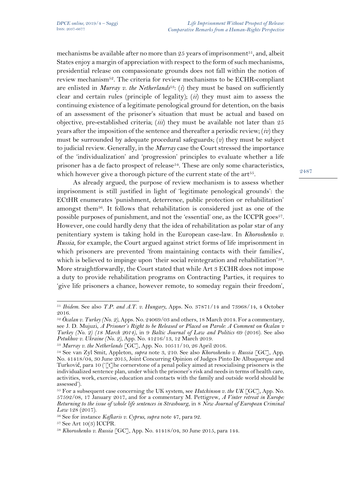mechanisms be available after no more than  $25$  years of imprisonment<sup>51</sup>, and, albeit States enjoy a margin of appreciation with respect to the form of such mechanisms, presidential release on compassionate grounds does not fall within the notion of review mechanism52. The criteria for review mechanisms to be ECHR-compliant are enlisted in *Murray v. the Netherlands*<sup>53</sup>: (*i*) they must be based on sufficiently clear and certain rules (principle of legality); (*ii*) they must aim to assess the continuing existence of a legitimate penological ground for detention, on the basis of an assessment of the prisoner's situation that must be actual and based on objective, pre-established criteria; (*iii*) they must be available not later than 25 years after the imposition of the sentence and thereafter a periodic review; (*iv*) they must be surrounded by adequate procedural safeguards; (*v*) they must be subject to judicial review. Generally, in the *Murray* case the Court stressed the importance of the 'individualization' and 'progression' principles to evaluate whether a life prisoner has a de facto prospect of release<sup>54</sup>. These are only some characteristics, which however give a thorough picture of the current state of the art<sup>55</sup>.

As already argued, the purpose of review mechanism is to assess whether imprisonment is still justified in light of 'legitimate penological grounds': the ECtHR enumerates 'punishment, deterrence, public protection or rehabilitation' amongst them56. It follows that rehabilitation is considered just as one of the possible purposes of punishment, and not the 'essential' one, as the ICCPR goes<sup>57</sup>. However, one could hardly deny that the idea of rehabilitation as polar star of any penitentiary system is taking hold in the European case-law. In *Khoroshenko v. Russia*, for example, the Court argued against strict forms of life imprisonment in which prisoners are prevented 'from maintaining contacts with their families', which is believed to impinge upon 'their social reintegration and rehabilitation'<sup>58</sup>. More straightforwardly, the Court stated that while Art 3 ECHR does not impose a duty to provide rehabilitation programs on Contracting Parties, it requires to 'give life prisoners a chance, however remote, to someday regain their freedom',

<sup>57</sup> See Art 10(3) ICCPR.

<sup>51</sup> *Ibidem*. See also *T.P. and A.T. v. Hungary*, Apps. No. 37871/14 and 73968/14, 4 October 2016.

<sup>52</sup> *Öcalan v. Turkey (No. 2)*, Apps. No. 24069/03 and others, 18 March 2014. For a commentary, see J. D. Mujuzi, *A Prisoner's Right to be Released or Placed on Parole: A Comment on Öcalan v Turkey (No. 2) (18 March 2014)*, in 9 *Baltic Journal of Law and Politics* 69 (2016). See also *Petukhov v. Ukraine (No. 2)*, App. No. 41216/13, 12 March 2019.

<sup>53</sup> *Murray v. the Netherlands* [GC], App. No. 10511/10, 26 April 2016.

<sup>54</sup> See van Zyl Smit, Appleton, *supra* note 3, 210. See also *Khoroshenko v. Russia* [GC], App. No. 41418/04, 30 June 2015, Joint Concurring Opinion of Judges Pinto De Albuquerque and Turković, para 10 ('[t]he cornerstone of a penal policy aimed at resocialising prisoners is the individualized sentence plan, under which the prisoner's risk and needs in terms of health care, activities, work, exercise, education and contacts with the family and outside world should be assessed').

<sup>55</sup> For a subsequent case concerning the UK system, see *Hutchinson v. the UK* [GC], App. No. 57592/08, 17 January 2017, and for a commentary M. Pettigrew, *A Vinter retreat in Europe: Returning to the issue of whole life sentences in Strasbourg*, in 8 *New Journal of European Criminal Law* 128 (2017).

<sup>56</sup> See for instance *Kafkaris v. Cyprus*, *supra* note 47, para 92.

<sup>58</sup> *Khoroshenko v. Russia* [GC], App. No. 41418/04, 30 June 2015, para 144.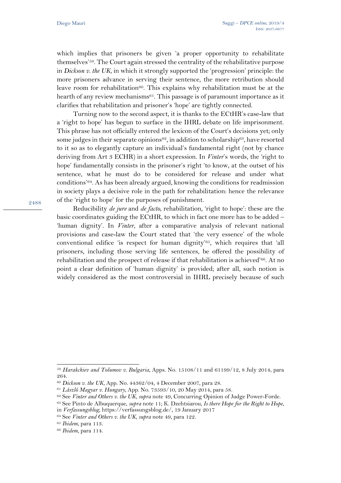which implies that prisoners be given 'a proper opportunity to rehabilitate themselves'59. The Court again stressed the centrality of the rehabilitative purpose in *Dickson v. the UK*, in which it strongly supported the 'progression' principle: the more prisoners advance in serving their sentence, the more retribution should leave room for rehabilitation<sup>60</sup>. This explains why rehabilitation must be at the hearth of any review mechanisms<sup>61</sup>. This passage is of paramount importance as it clarifies that rehabilitation and prisoner's 'hope' are tightly connected.

Turning now to the second aspect, it is thanks to the ECtHR's case-law that a 'right to hope' has begun to surface in the IHRL debate on life imprisonment. This phrase has not officially entered the lexicon of the Court's decisions yet; only some judges in their separate opinions $62$ , in addition to scholarship $63$ , have resorted to it so as to elegantly capture an individual's fundamental right (not by chance deriving from Art 3 ECHR) in a short expression. In *Vinter*'s words, the 'right to hope' fundamentally consists in the prisoner's right 'to know, at the outset of his sentence, what he must do to be considered for release and under what conditions'64. As has been already argued, knowing the conditions for readmission in society plays a decisive role in the path for rehabilitation: hence the relevance of the 'right to hope' for the purposes of punishment.

Reducibility *de jure* and *de facto*, rehabilitation, 'right to hope': these are the basic coordinates guiding the ECtHR, to which in fact one more has to be added – 'human dignity'. In *Vinter*, after a comparative analysis of relevant national provisions and case-law the Court stated that 'the very essence' of the whole conventional edifice 'is respect for human dignity'65, which requires that 'all prisoners, including those serving life sentences, be offered the possibility of rehabilitation and the prospect of release if that rehabilitation is achieved'66. At no point a clear definition of 'human dignity' is provided; after all, such notion is widely considered as the most controversial in IHRL precisely because of such

<sup>65</sup> *Ibidem*, para 113.

<sup>59</sup> *Harakchiev and Tolumov v. Bulgaria*, Apps. No. 15108/11 and 61199/12, 8 July 2014, para 264.

<sup>60</sup> *Dickson v. the UK*, App. No. 44362/04, 4 December 2007, para 28.

<sup>61</sup> *László Magyar v. Hungary*, App. No. 73593/10, 20 May 2014, para 58.

<sup>62</sup> See *Vinter and Others v. the UK*, *supra* note 49, Concurring Opinion of Judge Power-Forde.

<sup>63</sup> See Pinto de Albuquerque, *supra* note 11; K. Dzehtsiarou, *Is there Hope for the Right to Hope*,

in *Verfassungsblog*, https://verfassungsblog.de/, 19 January 2017

<sup>64</sup> See *Vinter and Others v. the UK*, *supra* note 49, para 122.

<sup>66</sup> *Ibidem*, para 114.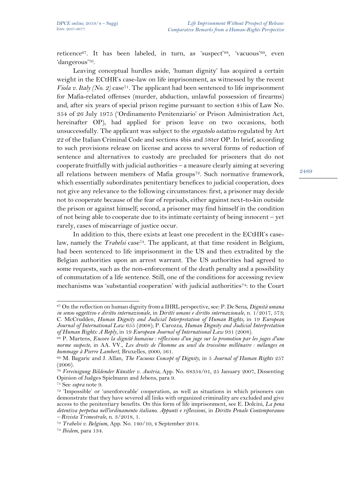reticence67. It has been labeled, in turn, as 'suspect'68, 'vacuous'69, even 'dangerous'70.

Leaving conceptual hurdles aside, 'human dignity' has acquired a certain weight in the ECtHR's case-law on life imprisonment, as witnessed by the recent *Viola v. Italy (No. 2)* case<sup>71</sup>. The applicant had been sentenced to life imprisonment for Mafia-related offenses (murder, abduction, unlawful possession of firearms) and, after six years of special prison regime pursuant to section 41bis of Law No. 354 of 26 July 1975 ('Ordinamento Penitenziario' or Prison Administration Act, hereinafter OP), had applied for prison leave on two occasions, both unsuccessfully. The applicant was subject to the *ergastolo ostativo* regulated by Art 22 of the Italian Criminal Code and sections 4bis and 58ter OP. In brief, according to such provisions release on license and access to several forms of reduction of sentence and alternatives to custody are precluded for prisoners that do not cooperate fruitfully with judicial authorities – a measure clearly aiming at severing all relations between members of Mafia groups<sup>72</sup>. Such normative framework, which essentially subordinates penitentiary benefices to judicial cooperation, does not give any relevance to the following circumstances: first, a prisoner may decide not to cooperate because of the fear of reprisals, either against next-to-kin outside the prison or against himself; second, a prisoner may find himself in the condition of not being able to cooperate due to its intimate certainty of being innocent – yet rarely, cases of miscarriage of justice occur.

In addition to this, there exists at least one precedent in the ECtHR's caselaw, namely the *Trabelsi* case<sup>73</sup>. The applicant, at that time resident in Belgium, had been sentenced to life imprisonment in the US and then extradited by the Belgian authorities upon an arrest warrant. The US authorities had agreed to some requests, such as the non-enforcement of the death penalty and a possibility of commutation of a life sentence. Still, one of the conditions for accessing review mechanisms was 'substantial cooperation' with judicial authorities74: to the Court

<sup>67</sup> On the reflection on human dignity from a IHRL perspective, see: P. De Sena, *Dignità umana in senso oggettivo e diritto internazionale*, in *Diritti umani e diritto internazionale*, n. 1/2017, 573; C. McCrudden, *Human Dignity and Judicial Interpretation of Human Rights*, in 19 *European Journal of International Law* 655 (2008); P. Carozza, *Human Dignity and Judicial Interpretation of Human Rights: A Reply*, in 19 *European Journal of International Law* 931 (2008).

<sup>68</sup> P. Martens, *Encore la dignité humaine : réflexions d'un juge sur la promotion par les juges d'une norme suspecte*, in AA. VV., *Les droits de l'homme au seuil du troisième millénaire : mélanges en hommage à Pierre Lambert*, Bruxelles, 2000, 561.

<sup>69</sup> M. Bagaric and J. Allan, *The Vacuous Concept of Dignity*, in 5 *Journal of Human Rights* 257 (2006).

<sup>70</sup> *Vereinigung Bildender Künstler v. Austria*, App. No. 68354/01, 25 January 2007, Dissenting Opinion of Judges Spielmann and Jebens, para 9.

<sup>71</sup> See *supra* note 9.

<sup>72</sup> 'Impossible' or 'unenforceable' cooperation, as well as situations in which prisoners can demonstrate that they have severed all links with organized criminality are excluded and give access to the penitentiary benefits. On this form of life imprisonment, see E. Dolcini, *La pena detentiva perpetua nell'ordinamento italiano. Appunti e riflessioni*, in *Diritto Penale Contemporaneo – Rivista Trimestrale*, n. 3/2018, 1.

<sup>73</sup> *Trabelsi v. Belgium*, App. No. 140/10, 4 September 2014.

<sup>74</sup> *Ibidem*, para 134.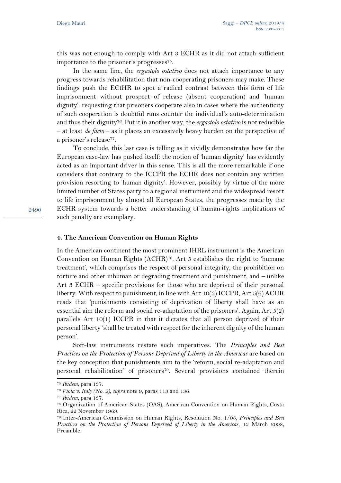this was not enough to comply with Art 3 ECHR as it did not attach sufficient importance to the prisoner's progresses75.

In the same line, the *ergastolo ostativo* does not attach importance to any progress towards rehabilitation that non-cooperating prisoners may make. These findings push the ECtHR to spot a radical contrast between this form of life imprisonment without prospect of release (absent cooperation) and 'human dignity': requesting that prisoners cooperate also in cases where the authenticity of such cooperation is doubtful runs counter the individual's auto-determination and thus their dignity76. Put it in another way, the *ergastolo ostativo* is not reducible – at least *de facto* – as it places an excessively heavy burden on the perspective of a prisoner's release77.

To conclude, this last case is telling as it vividly demonstrates how far the European case-law has pushed itself: the notion of 'human dignity' has evidently acted as an important driver in this sense. This is all the more remarkable if one considers that contrary to the ICCPR the ECHR does not contain any written provision resorting to 'human dignity'. However, possibly by virtue of the more limited number of States party to a regional instrument and the widespread resort to life imprisonment by almost all European States, the progresses made by the ECHR system towards a better understanding of human-rights implications of such penalty are exemplary.

2490

#### **4. The American Convention on Human Rights**

In the American continent the most prominent IHRL instrument is the American Convention on Human Rights (ACHR)78. Art 5 establishes the right to 'humane treatment', which comprises the respect of personal integrity, the prohibition on torture and other inhuman or degrading treatment and punishment, and – unlike Art 3 ECHR – specific provisions for those who are deprived of their personal liberty. With respect to punishment, in line with Art  $10(3)$  ICCPR, Art  $5(6)$  ACHR reads that 'punishments consisting of deprivation of liberty shall have as an essential aim the reform and social re-adaptation of the prisoners'. Again, Art  $5(2)$ parallels Art 10(1) ICCPR in that it dictates that all person deprived of their personal liberty 'shall be treated with respect for the inherent dignity of the human person'.

Soft-law instruments restate such imperatives. The *Principles and Best Practices on the Protection of Persons Deprived of Liberty in the Americas* are based on the key conception that punishments aim to the 'reform, social re-adaptation and personal rehabilitation' of prisoners<sup>79</sup>. Several provisions contained therein

<sup>75</sup> *Ibidem*, para 137.

<sup>76</sup> *Viola v. Italy (No. 2)*, *supra* note 9, paras 113 and 136.

<sup>77</sup> *Ibidem*, para 137.

<sup>78</sup> Organization of American States (OAS), American Convention on Human Rights, Costa Rica, 22 November 1969.

<sup>79</sup> Inter-American Commission on Human Rights, Resolution No. 1/08, *Principles and Best Practices on the Protection of Persons Deprived of Liberty in the Americas*, 13 March 2008, Preamble.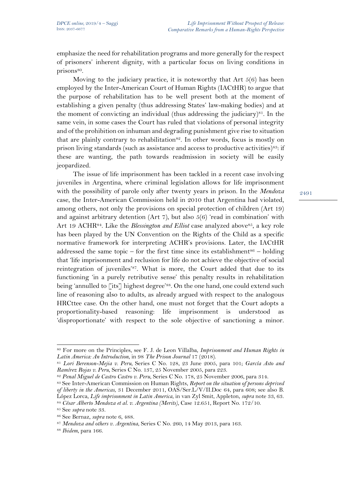emphasize the need for rehabilitation programs and more generally for the respect of prisoners' inherent dignity, with a particular focus on living conditions in prisons<sup>80</sup>.

Moving to the judiciary practice, it is noteworthy that Art 5(6) has been employed by the Inter-American Court of Human Rights (IACtHR) to argue that the purpose of rehabilitation has to be well present both at the moment of establishing a given penalty (thus addressing States' law-making bodies) and at the moment of convicting an individual (thus addressing the judiciary)<sup>81</sup>. In the same vein, in some cases the Court has ruled that violations of personal integrity and of the prohibition on inhuman and degrading punishment give rise to situation that are plainly contrary to rehabilitation<sup>82</sup>. In other words, focus is mostly on prison living standards (such as assistance and access to productive activities)<sup>83</sup>: if these are wanting, the path towards readmission in society will be easily jeopardized.

The issue of life imprisonment has been tackled in a recent case involving juveniles in Argentina, where criminal legislation allows for life imprisonment with the possibility of parole only after twenty years in prison. In the *Mendoza* case, the Inter-American Commission held in 2010 that Argentina had violated, among others, not only the provisions on special protection of children (Art 19) and against arbitrary detention (Art 7), but also 5(6) 'read in combination' with Art 19 ACHR<sup>84</sup>. Like the *Blessington and Elliot* case analyzed above<sup>85</sup>, a key role has been played by the UN Convention on the Rights of the Child as a specific normative framework for interpreting ACHR's provisions. Later, the IACtHR addressed the same topic – for the first time since its establishment<sup>86</sup> – holding that 'life imprisonment and reclusion for life do not achieve the objective of social reintegration of juveniles'<sup>87</sup>. What is more, the Court added that due to its functioning 'in a purely retributive sense' this penalty results in rehabilitation being 'annulled to [its] highest degree'<sup>88</sup>. On the one hand, one could extend such line of reasoning also to adults, as already argued with respect to the analogous HRCttee case. On the other hand, one must not forget that the Court adopts a proportionality-based reasoning: life imprisonment is understood as 'disproportionate' with respect to the sole objective of sanctioning a minor.

<sup>80</sup> For more on the Principles, see F. J. de Leon Villalba, *Imprisonment and Human Rights in Latin America: An Introduction*, in 98 *The Prison Journal* 17 (2018).

<sup>81</sup> *Lori Berenson-Mejia v. Peru*, Series C No. 128, 23 June 2005, para 101; *García Asto and Ramírez Rojas v. Peru*, Series C No. 137, 25 November 2005, para 223.

<sup>82</sup> *Penal Miguel de Castro Castro v. Peru*, Series C No. 178, 25 November 2006, para 314.

<sup>83</sup> See Inter-American Commission on Human Rights, *Report on the situation of persons deprived of liberty in the Americas*, 31 December 2011, OAS/Ser.L/V/II.Doc 64, para 608; see also B. López Lorca, *Life imprisonment in Latin America*, in van Zyl Smit, Appleton, *supra* note 33, 63.

<sup>84</sup> *César Alberto Mendoza et al. v. Argentina (Merits)*, Case 12.651, Report No. 172/10.

<sup>85</sup> See *supra* note 33.

<sup>86</sup> See Bernaz, *supra* note 6, 488.

<sup>87</sup> *Mendoza and others v. Argentina*, Series C No. 260, 14 May 2013, para 163.

<sup>88</sup> *Ibidem*, para 166.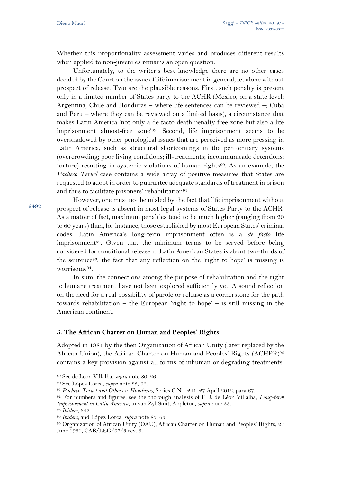Whether this proportionality assessment varies and produces different results when applied to non-juveniles remains an open question.

Unfortunately, to the writer's best knowledge there are no other cases decided by the Court on the issue of life imprisonment in general, let alone without prospect of release. Two are the plausible reasons. First, such penalty is present only in a limited number of States party to the ACHR (Mexico, on a state level; Argentina, Chile and Honduras – where life sentences can be reviewed –; Cuba and Peru – where they can be reviewed on a limited basis), a circumstance that makes Latin America 'not only a de facto death penalty free zone but also a life imprisonment almost-free zone'89. Second, life imprisonment seems to be overshadowed by other penological issues that are perceived as more pressing in Latin America, such as structural shortcomings in the penitentiary systems (overcrowding; poor living conditions; ill-treatments; incommunicado detentions; torture) resulting in systemic violations of human rights<sup>90</sup>. As an example, the *Pacheco Teruel* case contains a wide array of positive measures that States are requested to adopt in order to guarantee adequate standards of treatment in prison and thus to facilitate prisoners' rehabilitation<sup>91</sup>.

2492

However, one must not be misled by the fact that life imprisonment without prospect of release is absent in most legal systems of States Party to the ACHR. As a matter of fact, maximum penalties tend to be much higher (ranging from 20 to 60 years) than, for instance, those established by most European States' criminal codes: Latin America's long-term imprisonment often is a *de facto* life imprisonment<sup>92</sup>. Given that the minimum terms to be served before being considered for conditional release in Latin American States is about two-thirds of the sentence93, the fact that any reflection on the 'right to hope' is missing is worrisome94.

In sum, the connections among the purpose of rehabilitation and the right to humane treatment have not been explored sufficiently yet. A sound reflection on the need for a real possibility of parole or release as a cornerstone for the path towards rehabilitation – the European 'right to hope' – is still missing in the American continent.

#### **5. The African Charter on Human and Peoples' Rights**

Adopted in 1981 by the then Organization of African Unity (later replaced by the African Union), the African Charter on Human and Peoples' Rights (ACHPR)<sup>95</sup> contains a key provision against all forms of inhuman or degrading treatments.

<sup>89</sup> See de Leon Villalba, *supra* note 80, 26.

<sup>90</sup> See López Lorca, *supra* note 83, 66.

<sup>91</sup> *Pacheco Teruel and Others v. Honduras*, Series C No. 241, 27 April 2012, para 67.

<sup>92</sup> For numbers and figures, see the thorough analysis of F. J. de Léon Villalba, *Long-term Imprisonment in Latin America*, in van Zyl Smit, Appleton, *supra* note 33.

<sup>93</sup> *Ibidem*, 342.

<sup>94</sup> *Ibidem*, and López Lorca, *supra* note 83, 63.

<sup>95</sup> Organization of African Unity (OAU), African Charter on Human and Peoples' Rights, 27 June 1981, CAB/LEG/67/3 rev. 5.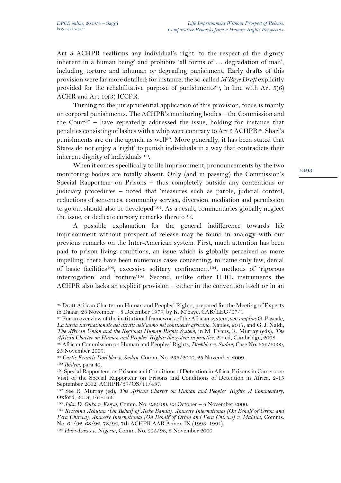Art 5 ACHPR reaffirms any individual's right 'to the respect of the dignity inherent in a human being' and prohibits 'all forms of … degradation of man', including torture and inhuman or degrading punishment. Early drafts of this provision were far more detailed; for instance, the so-called *M'Baye Draft* explicitly provided for the rehabilitative purpose of punishments<sup>96</sup>, in line with Art  $5(6)$ ACHR and Art 10(3) ICCPR.

Turning to the jurisprudential application of this provision, focus is mainly on corporal punishments. The ACHPR's monitoring bodies – the Commission and the Court<sup>97</sup> – have repeatedly addressed the issue, holding for instance that penalties consisting of lashes with a whip were contrary to Art 5 ACHPR98. Shari'a punishments are on the agenda as well99. More generally, it has been stated that States do not enjoy a 'right' to punish individuals in a way that contradicts their inherent dignity of individuals<sup>100</sup>.

When it comes specifically to life imprisonment, pronouncements by the two monitoring bodies are totally absent. Only (and in passing) the Commission's Special Rapporteur on Prisons – thus completely outside any contentious or judiciary procedures – noted that 'measures such as parole, judicial control, reductions of sentences, community service, diversion, mediation and permission to go out should also be developed'101. As a result, commentaries globally neglect the issue, or dedicate cursory remarks thereto<sup>102</sup>.

A possible explanation for the general indifference towards life imprisonment without prospect of release may be found in analogy with our previous remarks on the Inter-American system. First, much attention has been paid to prison living conditions, an issue which is globally perceived as more impelling: there have been numerous cases concerning, to name only few, denial of basic facilities103, excessive solitary confinement104, methods of 'rigorous interrogation' and 'torture'105. Second, unlike other IHRL instruments the ACHPR also lacks an explicit provision – either in the convention itself or in an

<sup>96</sup> Draft African Charter on Human and Peoples' Rights, prepared for the Meeting of Experts in Dakar, 28 November – 8 December 1979, by K. M'baye,  $\text{CAB/LEG}/67/1$ .

<sup>97</sup> For an overview of the institutional framework of the African system, see *amplius* G. Pascale, *La tutela internazionale dei diritti dell'uomo nel continente africano*, Naples, 2017, and G. J. Naldi, *The African Union and the Regional Human Rights System*, in M. Evans, R. Murray (eds), *The African Charter on Human and Peoples' Rights: the system in practice*, 2nd ed, Cambridge, 2008.

<sup>98</sup> African Commission on Human and Peoples' Rights, *Doebbler v. Sudan*, Case No. 235/2000, 25 November 2009.

<sup>99</sup> *Curtis Francis Doebbler v. Sudan*, Comm. No. 236/2000, 25 November 2009.

<sup>100</sup> *Ibidem*, para 42.

<sup>101</sup> Special Rapporteur on Prisons and Conditions of Detention in Africa, Prisons in Cameroon: Visit of the Special Rapporteur on Prisons and Conditions of Detention in Africa, 2-15 September 2002, ACHPR/37/OS/11/437.

<sup>102</sup> See R. Murray (ed), *The African Charter on Human and Peoples' Rights: A Commentary*, Oxford, 2019, 161-162.

<sup>103</sup> *John D. Ouko v. Kenya*, Comm. No. 232/99, 23 October – 6 November 2000.

<sup>104</sup> *Krischna Achutan (On Behalf of Aleke Banda), Amnesty International (On Behalf of Orton and Vera Chirwa), Amnesty International (On Behalf of Orton and Vera Chirwa) v. Malawi*, Comms. No. 64/92, 68/92, 78/92, 7th ACHPR AAR Annex IX (1993–1994).

<sup>105</sup> *Huri-Laws v. Nigeria*, Comm. No. 225/98, 6 November 2000.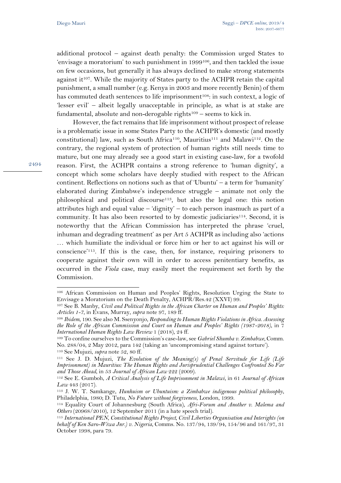additional protocol – against death penalty: the Commission urged States to 'envisage a moratorium' to such punishment in 1999106, and then tackled the issue on few occasions, but generally it has always declined to make strong statements against it<sup>107</sup>. While the majority of States party to the ACHPR retain the capital punishment, a small number (e.g. Kenya in 2003 and more recently Benin) of them has commuted death sentences to life imprisonment<sup>108</sup>: in such context, a logic of 'lesser evil' – albeit legally unacceptable in principle, as what is at stake are fundamental, absolute and non-derogable rights<sup>109</sup> – seems to kick in.

However, the fact remains that life imprisonment without prospect of release is a problematic issue in some States Party to the ACHPR's domestic (and mostly constitutional) law, such as South Africa<sup>110</sup>, Mauritius<sup>111</sup> and Malawi<sup>112</sup>. On the contrary, the regional system of protection of human rights still needs time to mature, but one may already see a good start in existing case-law, for a twofold reason. First, the ACHPR contains a strong reference to 'human dignity', a concept which some scholars have deeply studied with respect to the African continent. Reflections on notions such as that of 'Ubuntu' – a term for 'humanity' elaborated during Zimbabwe's independence struggle – animate not only the philosophical and political discourse113, but also the legal one: this notion attributes high and equal value – 'dignity' – to each person inasmuch as part of a community. It has also been resorted to by domestic judiciaries<sup>114</sup>. Second, it is noteworthy that the African Commission has interpreted the phrase 'cruel, inhuman and degrading treatment' as per Art 5 ACHPR as including also 'actions … which humiliate the individual or force him or her to act against his will or conscience'115. If this is the case, then, for instance, requiring prisoners to cooperate against their own will in order to access penitentiary benefits, as occurred in the *Viola* case, may easily meet the requirement set forth by the Commission.

<sup>106</sup> African Commission on Human and Peoples' Rights, Resolution Urging the State to Envisage a Moratorium on the Death Penalty, ACHPR/Res.42 (XXVI) 99.

<sup>107</sup> See B. Manby, *Civil and Political Rights in the African Charter on Human and Peoples' Rights: Articles 1-7*, in Evans, Murray, *supra* note 97, 189 ff.

<sup>108</sup> *Ibidem*, 190. See also M. Ssenyonjo, *Responding to Human Rights Violations in Africa. Assessing the Role of the African Commission and Court on Human and Peoples' Rights (1987-2018)*, in 7 *International Human Rights Law Review* 1 (2018), 24 ff.

<sup>109</sup> To confine ourselves to the Commission's case-law, see *Gabriel Shumba v. Zimbabwe*, Comm. No. 288/04, 2 May 2012, para 142 (taking an 'uncompromising stand against torture'). <sup>110</sup> See Mujuzi, *supra* note 52, 80 ff.

<sup>111</sup> See J. D. Mujuzi, *The Evolution of the Meaning(s) of Penal Servitude for Life (Life Imprisonment) in Mauritius: The Human Rights and Jurisprudential Challenges Confronted So Far and Those Ahead*, in 53 *Journal of African Law* 222 (2009).

<sup>112</sup> See E. Gumboh, *A Critical Analysis of Life Imprisonment in Malawi*, in 61 *Journal of African Law* 443 (2017).

<sup>113</sup> J. W. T. Samkange, *Hunhuism or Ubuntuism: a Zimbabwe indigenous political philosophy*, Philadelphia, 1980; D. Tutu, *No Future without forgiveness*, London, 1999.

<sup>114</sup> Equality Court of Johannesburg (South Africa), *Afri-Forum and Another v. Malema and Others* (20968/2010), 12 September 2011 (in a hate speech trial).

<sup>115</sup> *International PEN, Constitutional Rights Project, Civil Liberties Organisation and Interights (on behalf of Ken Saro-Wiwa Jnr.) v. Nigeria*, Comms. No. 137/94, 139/94, 154/96 and 161/97, 31 October 1998, para 79.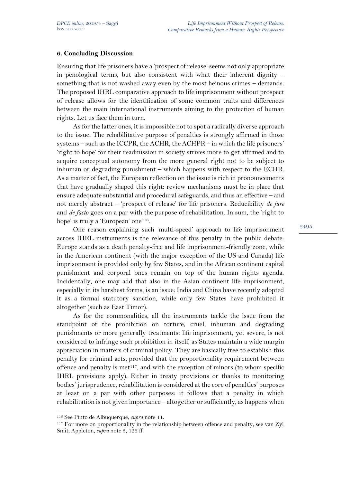## **6. Concluding Discussion**

Ensuring that life prisoners have a 'prospect of release' seems not only appropriate in penological terms, but also consistent with what their inherent dignity – something that is not washed away even by the most heinous crimes – demands. The proposed IHRL comparative approach to life imprisonment without prospect of release allows for the identification of some common traits and differences between the main international instruments aiming to the protection of human rights. Let us face them in turn.

As for the latter ones, it is impossible not to spot a radically diverse approach to the issue. The rehabilitative purpose of penalties is strongly affirmed in those systems – such as the ICCPR, the ACHR, the ACHPR – in which the life prisoners' 'right to hope' for their readmission in society strives more to get affirmed and to acquire conceptual autonomy from the more general right not to be subject to inhuman or degrading punishment – which happens with respect to the ECHR. As a matter of fact, the European reflection on the issue is rich in pronouncements that have gradually shaped this right: review mechanisms must be in place that ensure adequate substantial and procedural safeguards, and thus an effective – and not merely abstract – 'prospect of release' for life prisoners. Reducibility *de jure* and *de facto* goes on a par with the purpose of rehabilitation. In sum, the 'right to hope' is truly a 'European' one<sup>116</sup>.

One reason explaining such 'multi-speed' approach to life imprisonment across IHRL instruments is the relevance of this penalty in the public debate: Europe stands as a death penalty-free and life imprisonment-friendly zone, while in the American continent (with the major exception of the US and Canada) life imprisonment is provided only by few States, and in the African continent capital punishment and corporal ones remain on top of the human rights agenda. Incidentally, one may add that also in the Asian continent life imprisonment, especially in its harshest forms, is an issue: India and China have recently adopted it as a formal statutory sanction, while only few States have prohibited it altogether (such as East Timor).

As for the commonalities, all the instruments tackle the issue from the standpoint of the prohibition on torture, cruel, inhuman and degrading punishments or more generally treatments: life imprisonment, yet severe, is not considered to infringe such prohibition in itself, as States maintain a wide margin appreciation in matters of criminal policy. They are basically free to establish this penalty for criminal acts, provided that the proportionality requirement between offence and penalty is met<sup>117</sup>, and with the exception of minors (to whom specific IHRL provisions apply). Either in treaty provisions or thanks to monitoring bodies' jurisprudence, rehabilitation is considered at the core of penalties' purposes at least on a par with other purposes: it follows that a penalty in which rehabilitation is not given importance – altogether or sufficiently, as happens when

<sup>116</sup> See Pinto de Albuquerque, *supra* note 11.

<sup>117</sup> For more on proportionality in the relationship between offence and penalty, see van Zyl Smit, Appleton, *supra* note 3, 126 ff.